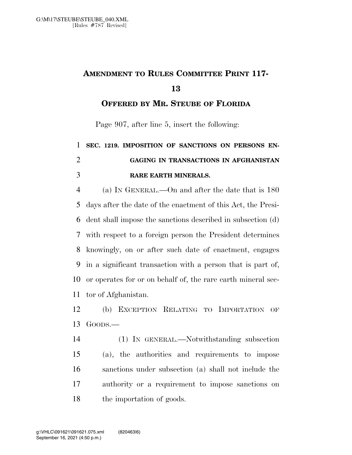## **AMENDMENT TO RULES COMMITTEE PRINT 117-**

**OFFERED BY MR. STEUBE OF FLORIDA**

Page 907, after line 5, insert the following:

## **SEC. 1219. IMPOSITION OF SANCTIONS ON PERSONS EN- GAGING IN TRANSACTIONS IN AFGHANISTAN RARE EARTH MINERALS.**

 (a) IN GENERAL.—On and after the date that is 180 days after the date of the enactment of this Act, the Presi- dent shall impose the sanctions described in subsection (d) with respect to a foreign person the President determines knowingly, on or after such date of enactment, engages in a significant transaction with a person that is part of, or operates for or on behalf of, the rare earth mineral sec-tor of Afghanistan.

 (b) EXCEPTION RELATING TO IMPORTATION OF GOODS.—

 (1) IN GENERAL.—Notwithstanding subsection (a), the authorities and requirements to impose sanctions under subsection (a) shall not include the authority or a requirement to impose sanctions on the importation of goods.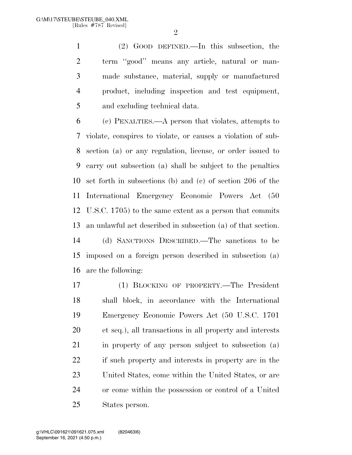$\mathfrak{D}$ 

 (2) GOOD DEFINED.—In this subsection, the term ''good'' means any article, natural or man- made substance, material, supply or manufactured product, including inspection and test equipment, and excluding technical data.

 (c) PENALTIES.—A person that violates, attempts to violate, conspires to violate, or causes a violation of sub- section (a) or any regulation, license, or order issued to carry out subsection (a) shall be subject to the penalties set forth in subsections (b) and (c) of section 206 of the International Emergency Economic Powers Act (50 U.S.C. 1705) to the same extent as a person that commits an unlawful act described in subsection (a) of that section. (d) SANCTIONS DESCRIBED.—The sanctions to be imposed on a foreign person described in subsection (a) are the following:

 (1) BLOCKING OF PROPERTY.—The President shall block, in accordance with the International Emergency Economic Powers Act (50 U.S.C. 1701 et seq.), all transactions in all property and interests in property of any person subject to subsection (a) if such property and interests in property are in the United States, come within the United States, or are or come within the possession or control of a United States person.